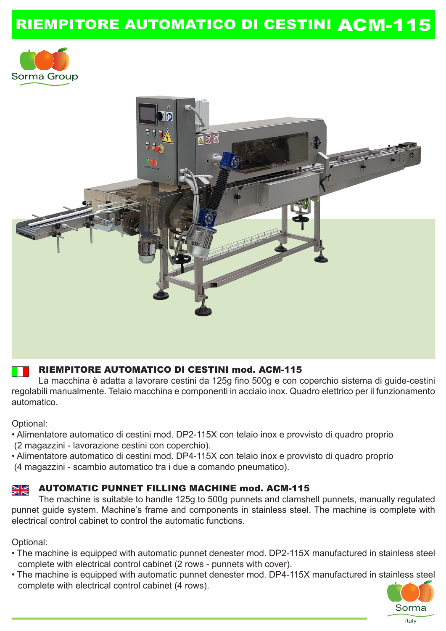# RIEMPITORE AUTOMATICO DI CESTINI ACM-115





### RIEMPITORE AUTOMATICO DI CESTINI mod. ACM-115

 La macchina è adatta a lavorare cestini da 125g fino 500g e con coperchio sistema di guide-cestini regolabili manualmente. Telaio macchina e componenti in acciaio inox. Quadro elettrico per il funzionamento automatico.

Optional:

- Alimentatore automatico di cestini mod. DP2-115X con telaio inox e provvisto di quadro proprio (2 magazzini - lavorazione cestini con coperchio).
- Alimentatore automatico di cestini mod. DP4-115X con telaio inox e provvisto di quadro proprio (4 magazzini - scambio automatico tra i due a comando pneumatico).

#### NK<br>ZR AUTOMATIC PUNNET FILLING MACHINE mod. ACM-115

 The machine is suitable to handle 125g to 500g punnets and clamshell punnets, manually regulated punnet guide system. Machine's frame and components in stainless steel. The machine is complete with electrical control cabinet to control the automatic functions.

Optional:

- The machine is equipped with automatic punnet denester mod. DP2-115X manufactured in stainless steel complete with electrical control cabinet (2 rows - punnets with cover).
- The machine is equipped with automatic punnet denester mod. DP4-115X manufactured in stainless steel complete with electrical control cabinet (4 rows).